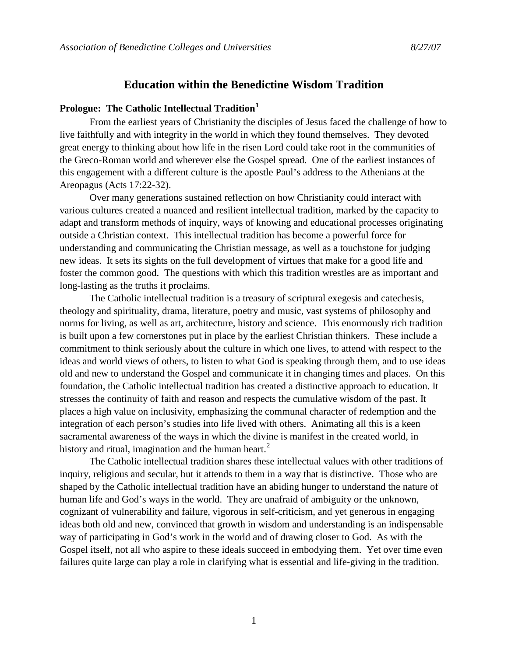# **Education within the Benedictine Wisdom Tradition**

# **Prologue: The Catholic Intellectual Tradition[1](#page-7-0)**

From the earliest years of Christianity the disciples of Jesus faced the challenge of how to live faithfully and with integrity in the world in which they found themselves. They devoted great energy to thinking about how life in the risen Lord could take root in the communities of the Greco-Roman world and wherever else the Gospel spread. One of the earliest instances of this engagement with a different culture is the apostle Paul's address to the Athenians at the Areopagus (Acts 17:22-32).

Over many generations sustained reflection on how Christianity could interact with various cultures created a nuanced and resilient intellectual tradition, marked by the capacity to adapt and transform methods of inquiry, ways of knowing and educational processes originating outside a Christian context. This intellectual tradition has become a powerful force for understanding and communicating the Christian message, as well as a touchstone for judging new ideas. It sets its sights on the full development of virtues that make for a good life and foster the common good. The questions with which this tradition wrestles are as important and long-lasting as the truths it proclaims.

The Catholic intellectual tradition is a treasury of scriptural exegesis and catechesis, theology and spirituality, drama, literature, poetry and music, vast systems of philosophy and norms for living, as well as art, architecture, history and science. This enormously rich tradition is built upon a few cornerstones put in place by the earliest Christian thinkers. These include a commitment to think seriously about the culture in which one lives, to attend with respect to the ideas and world views of others, to listen to what God is speaking through them, and to use ideas old and new to understand the Gospel and communicate it in changing times and places. On this foundation, the Catholic intellectual tradition has created a distinctive approach to education. It stresses the continuity of faith and reason and respects the cumulative wisdom of the past. It places a high value on inclusivity, emphasizing the communal character of redemption and the integration of each person's studies into life lived with others. Animating all this is a keen sacramental awareness of the ways in which the divine is manifest in the created world, in history and ritual, imagination and the human heart.<sup>[2](#page-7-1)</sup>

The Catholic intellectual tradition shares these intellectual values with other traditions of inquiry, religious and secular, but it attends to them in a way that is distinctive. Those who are shaped by the Catholic intellectual tradition have an abiding hunger to understand the nature of human life and God's ways in the world. They are unafraid of ambiguity or the unknown, cognizant of vulnerability and failure, vigorous in self-criticism, and yet generous in engaging ideas both old and new, convinced that growth in wisdom and understanding is an indispensable way of participating in God's work in the world and of drawing closer to God. As with the Gospel itself, not all who aspire to these ideals succeed in embodying them. Yet over time even failures quite large can play a role in clarifying what is essential and life-giving in the tradition.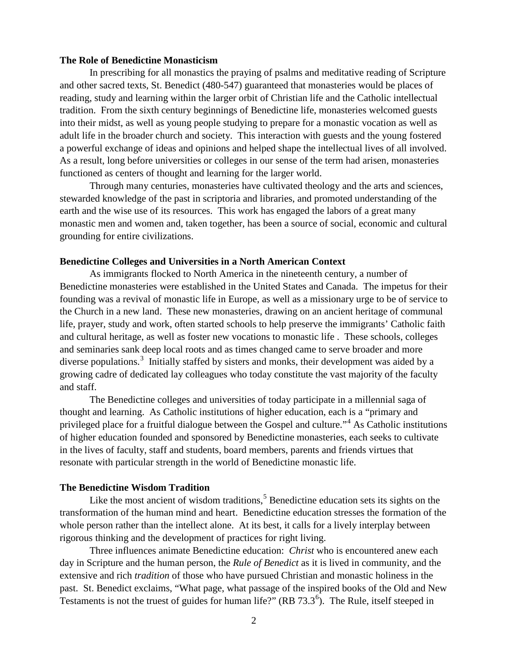## **The Role of Benedictine Monasticism**

In prescribing for all monastics the praying of psalms and meditative reading of Scripture and other sacred texts, St. Benedict (480-547) guaranteed that monasteries would be places of reading, study and learning within the larger orbit of Christian life and the Catholic intellectual tradition. From the sixth century beginnings of Benedictine life, monasteries welcomed guests into their midst, as well as young people studying to prepare for a monastic vocation as well as adult life in the broader church and society. This interaction with guests and the young fostered a powerful exchange of ideas and opinions and helped shape the intellectual lives of all involved. As a result, long before universities or colleges in our sense of the term had arisen, monasteries functioned as centers of thought and learning for the larger world.

Through many centuries, monasteries have cultivated theology and the arts and sciences, stewarded knowledge of the past in scriptoria and libraries, and promoted understanding of the earth and the wise use of its resources. This work has engaged the labors of a great many monastic men and women and, taken together, has been a source of social, economic and cultural grounding for entire civilizations.

#### **Benedictine Colleges and Universities in a North American Context**

As immigrants flocked to North America in the nineteenth century, a number of Benedictine monasteries were established in the United States and Canada. The impetus for their founding was a revival of monastic life in Europe, as well as a missionary urge to be of service to the Church in a new land. These new monasteries, drawing on an ancient heritage of communal life, prayer, study and work, often started schools to help preserve the immigrants' Catholic faith and cultural heritage, as well as foster new vocations to monastic life . These schools, colleges and seminaries sank deep local roots and as times changed came to serve broader and more diverse populations.<sup>[3](#page-7-2)</sup> Initially staffed by sisters and monks, their development was aided by a growing cadre of dedicated lay colleagues who today constitute the vast majority of the faculty and staff.

The Benedictine colleges and universities of today participate in a millennial saga of thought and learning. As Catholic institutions of higher education, each is a "primary and privileged place for a fruitful dialogue between the Gospel and culture."[4](#page-7-3) As Catholic institutions of higher education founded and sponsored by Benedictine monasteries, each seeks to cultivate in the lives of faculty, staff and students, board members, parents and friends virtues that resonate with particular strength in the world of Benedictine monastic life.

#### **The Benedictine Wisdom Tradition**

Like the most ancient of wisdom traditions,<sup>[5](#page-7-4)</sup> Benedictine education sets its sights on the transformation of the human mind and heart. Benedictine education stresses the formation of the whole person rather than the intellect alone. At its best, it calls for a lively interplay between rigorous thinking and the development of practices for right living.

Three influences animate Benedictine education: *Christ* who is encountered anew each day in Scripture and the human person, the *Rule of Benedict* as it is lived in community, and the extensive and rich *tradition* of those who have pursued Christian and monastic holiness in the past. St. Benedict exclaims, "What page, what passage of the inspired books of the Old and New Testaments is not the truest of guides for human life?"  $(RB 73.3<sup>6</sup>)$  $(RB 73.3<sup>6</sup>)$  $(RB 73.3<sup>6</sup>)$ . The Rule, itself steeped in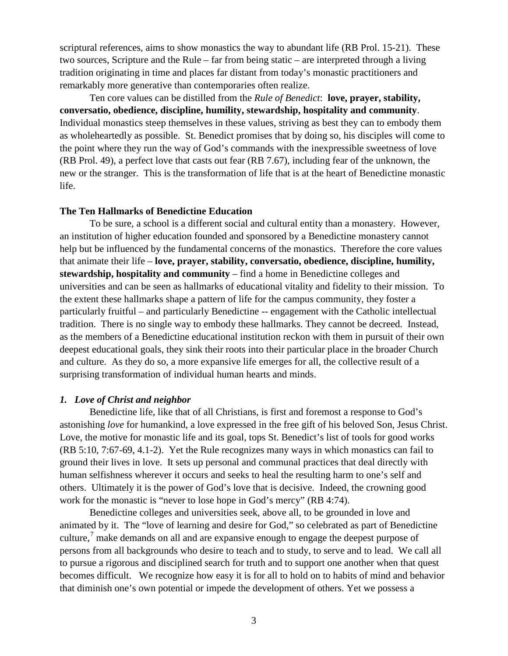scriptural references, aims to show monastics the way to abundant life (RB Prol. 15-21). These two sources, Scripture and the Rule – far from being static – are interpreted through a living tradition originating in time and places far distant from today's monastic practitioners and remarkably more generative than contemporaries often realize.

Ten core values can be distilled from the *Rule of Benedict*: **love, prayer, stability, conversatio, obedience, discipline, humility, stewardship, hospitality and community**. Individual monastics steep themselves in these values, striving as best they can to embody them as wholeheartedly as possible. St. Benedict promises that by doing so, his disciples will come to the point where they run the way of God's commands with the inexpressible sweetness of love (RB Prol. 49), a perfect love that casts out fear (RB 7.67), including fear of the unknown, the new or the stranger. This is the transformation of life that is at the heart of Benedictine monastic life.

## **The Ten Hallmarks of Benedictine Education**

To be sure, a school is a different social and cultural entity than a monastery. However, an institution of higher education founded and sponsored by a Benedictine monastery cannot help but be influenced by the fundamental concerns of the monastics. Therefore the core values that animate their life – **love, prayer, stability, conversatio, obedience, discipline, humility, stewardship, hospitality and community** – find a home in Benedictine colleges and universities and can be seen as hallmarks of educational vitality and fidelity to their mission. To the extent these hallmarks shape a pattern of life for the campus community, they foster a particularly fruitful – and particularly Benedictine -- engagement with the Catholic intellectual tradition. There is no single way to embody these hallmarks. They cannot be decreed. Instead, as the members of a Benedictine educational institution reckon with them in pursuit of their own deepest educational goals, they sink their roots into their particular place in the broader Church and culture. As they do so, a more expansive life emerges for all, the collective result of a surprising transformation of individual human hearts and minds.

#### *1. Love of Christ and neighbor*

Benedictine life, like that of all Christians, is first and foremost a response to God's astonishing *love* for humankind, a love expressed in the free gift of his beloved Son, Jesus Christ. Love, the motive for monastic life and its goal, tops St. Benedict's list of tools for good works (RB 5:10, 7:67-69, 4.1-2). Yet the Rule recognizes many ways in which monastics can fail to ground their lives in love. It sets up personal and communal practices that deal directly with human selfishness wherever it occurs and seeks to heal the resulting harm to one's self and others. Ultimately it is the power of God's love that is decisive. Indeed, the crowning good work for the monastic is "never to lose hope in God's mercy" (RB 4:74).

Benedictine colleges and universities seek, above all, to be grounded in love and animated by it. The "love of learning and desire for God," so celebrated as part of Benedictine culture,<sup>[7](#page-7-6)</sup> make demands on all and are expansive enough to engage the deepest purpose of persons from all backgrounds who desire to teach and to study, to serve and to lead. We call all to pursue a rigorous and disciplined search for truth and to support one another when that quest becomes difficult. We recognize how easy it is for all to hold on to habits of mind and behavior that diminish one's own potential or impede the development of others. Yet we possess a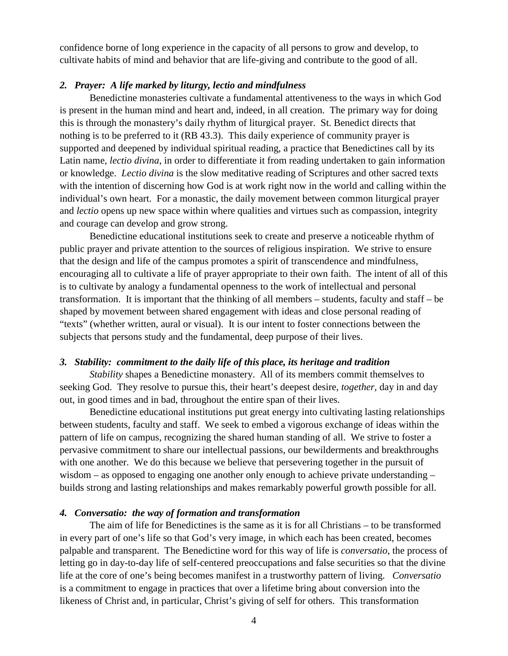confidence borne of long experience in the capacity of all persons to grow and develop, to cultivate habits of mind and behavior that are life-giving and contribute to the good of all.

## *2. Prayer: A life marked by liturgy, lectio and mindfulness*

Benedictine monasteries cultivate a fundamental attentiveness to the ways in which God is present in the human mind and heart and, indeed, in all creation. The primary way for doing this is through the monastery's daily rhythm of liturgical prayer. St. Benedict directs that nothing is to be preferred to it (RB 43.3). This daily experience of community prayer is supported and deepened by individual spiritual reading, a practice that Benedictines call by its Latin name, *lectio divina*, in order to differentiate it from reading undertaken to gain information or knowledge. *Lectio divina* is the slow meditative reading of Scriptures and other sacred texts with the intention of discerning how God is at work right now in the world and calling within the individual's own heart. For a monastic, the daily movement between common liturgical prayer and *lectio* opens up new space within where qualities and virtues such as compassion, integrity and courage can develop and grow strong.

Benedictine educational institutions seek to create and preserve a noticeable rhythm of public prayer and private attention to the sources of religious inspiration. We strive to ensure that the design and life of the campus promotes a spirit of transcendence and mindfulness, encouraging all to cultivate a life of prayer appropriate to their own faith. The intent of all of this is to cultivate by analogy a fundamental openness to the work of intellectual and personal transformation. It is important that the thinking of all members – students, faculty and staff – be shaped by movement between shared engagement with ideas and close personal reading of "texts" (whether written, aural or visual). It is our intent to foster connections between the subjects that persons study and the fundamental, deep purpose of their lives.

#### *3. Stability: commitment to the daily life of this place, its heritage and tradition*

*Stability* shapes a Benedictine monastery. All of its members commit themselves to seeking God. They resolve to pursue this, their heart's deepest desire, *together*, day in and day out, in good times and in bad, throughout the entire span of their lives.

Benedictine educational institutions put great energy into cultivating lasting relationships between students, faculty and staff. We seek to embed a vigorous exchange of ideas within the pattern of life on campus, recognizing the shared human standing of all. We strive to foster a pervasive commitment to share our intellectual passions, our bewilderments and breakthroughs with one another. We do this because we believe that persevering together in the pursuit of wisdom – as opposed to engaging one another only enough to achieve private understanding – builds strong and lasting relationships and makes remarkably powerful growth possible for all.

#### *4. Conversatio: the way of formation and transformation*

The aim of life for Benedictines is the same as it is for all Christians – to be transformed in every part of one's life so that God's very image, in which each has been created, becomes palpable and transparent. The Benedictine word for this way of life is *conversatio*, the process of letting go in day-to-day life of self-centered preoccupations and false securities so that the divine life at the core of one's being becomes manifest in a trustworthy pattern of living. *Conversatio* is a commitment to engage in practices that over a lifetime bring about conversion into the likeness of Christ and, in particular, Christ's giving of self for others. This transformation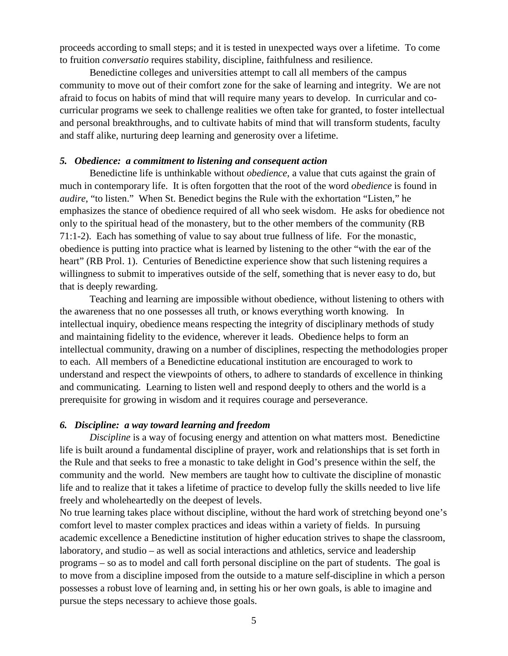proceeds according to small steps; and it is tested in unexpected ways over a lifetime. To come to fruition *conversatio* requires stability, discipline, faithfulness and resilience.

Benedictine colleges and universities attempt to call all members of the campus community to move out of their comfort zone for the sake of learning and integrity. We are not afraid to focus on habits of mind that will require many years to develop. In curricular and cocurricular programs we seek to challenge realities we often take for granted, to foster intellectual and personal breakthroughs, and to cultivate habits of mind that will transform students, faculty and staff alike, nurturing deep learning and generosity over a lifetime.

# *5. Obedience: a commitment to listening and consequent action*

Benedictine life is unthinkable without *obedience,* a value that cuts against the grain of much in contemporary life. It is often forgotten that the root of the word *obedience* is found in *audire*, "to listen." When St. Benedict begins the Rule with the exhortation "Listen," he emphasizes the stance of obedience required of all who seek wisdom. He asks for obedience not only to the spiritual head of the monastery, but to the other members of the community (RB 71:1-2). Each has something of value to say about true fullness of life. For the monastic, obedience is putting into practice what is learned by listening to the other "with the ear of the heart" (RB Prol. 1). Centuries of Benedictine experience show that such listening requires a willingness to submit to imperatives outside of the self, something that is never easy to do, but that is deeply rewarding.

Teaching and learning are impossible without obedience, without listening to others with the awareness that no one possesses all truth, or knows everything worth knowing. In intellectual inquiry, obedience means respecting the integrity of disciplinary methods of study and maintaining fidelity to the evidence, wherever it leads. Obedience helps to form an intellectual community, drawing on a number of disciplines, respecting the methodologies proper to each. All members of a Benedictine educational institution are encouraged to work to understand and respect the viewpoints of others, to adhere to standards of excellence in thinking and communicating. Learning to listen well and respond deeply to others and the world is a prerequisite for growing in wisdom and it requires courage and perseverance.

## *6. Discipline: a way toward learning and freedom*

*Discipline* is a way of focusing energy and attention on what matters most. Benedictine life is built around a fundamental discipline of prayer, work and relationships that is set forth in the Rule and that seeks to free a monastic to take delight in God's presence within the self, the community and the world. New members are taught how to cultivate the discipline of monastic life and to realize that it takes a lifetime of practice to develop fully the skills needed to live life freely and wholeheartedly on the deepest of levels.

No true learning takes place without discipline, without the hard work of stretching beyond one's comfort level to master complex practices and ideas within a variety of fields. In pursuing academic excellence a Benedictine institution of higher education strives to shape the classroom, laboratory, and studio – as well as social interactions and athletics, service and leadership programs – so as to model and call forth personal discipline on the part of students. The goal is to move from a discipline imposed from the outside to a mature self-discipline in which a person possesses a robust love of learning and, in setting his or her own goals, is able to imagine and pursue the steps necessary to achieve those goals.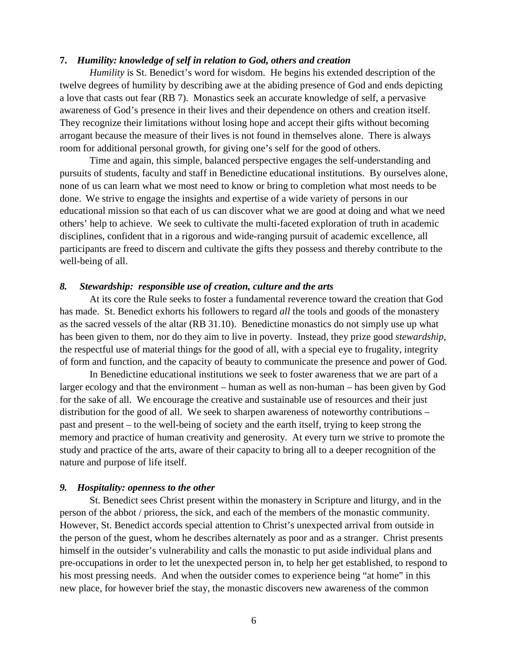## **7.** *Humility: knowledge of self in relation to God, others and creation*

*Humility* is St. Benedict's word for wisdom. He begins his extended description of the twelve degrees of humility by describing awe at the abiding presence of God and ends depicting a love that casts out fear (RB 7). Monastics seek an accurate knowledge of self, a pervasive awareness of God's presence in their lives and their dependence on others and creation itself. They recognize their limitations without losing hope and accept their gifts without becoming arrogant because the measure of their lives is not found in themselves alone. There is always room for additional personal growth, for giving one's self for the good of others.

Time and again, this simple, balanced perspective engages the self-understanding and pursuits of students, faculty and staff in Benedictine educational institutions. By ourselves alone, none of us can learn what we most need to know or bring to completion what most needs to be done. We strive to engage the insights and expertise of a wide variety of persons in our educational mission so that each of us can discover what we are good at doing and what we need others' help to achieve. We seek to cultivate the multi-faceted exploration of truth in academic disciplines, confident that in a rigorous and wide-ranging pursuit of academic excellence, all participants are freed to discern and cultivate the gifts they possess and thereby contribute to the well-being of all.

### *8. Stewardship: responsible use of creation, culture and the arts*

At its core the Rule seeks to foster a fundamental reverence toward the creation that God has made. St. Benedict exhorts his followers to regard *all* the tools and goods of the monastery as the sacred vessels of the altar (RB 31.10). Benedictine monastics do not simply use up what has been given to them, nor do they aim to live in poverty. Instead, they prize good *stewardship*, the respectful use of material things for the good of all, with a special eye to frugality, integrity of form and function, and the capacity of beauty to communicate the presence and power of God.

In Benedictine educational institutions we seek to foster awareness that we are part of a larger ecology and that the environment – human as well as non-human – has been given by God for the sake of all. We encourage the creative and sustainable use of resources and their just distribution for the good of all. We seek to sharpen awareness of noteworthy contributions – past and present – to the well-being of society and the earth itself, trying to keep strong the memory and practice of human creativity and generosity. At every turn we strive to promote the study and practice of the arts, aware of their capacity to bring all to a deeper recognition of the nature and purpose of life itself.

#### *9. Hospitality: openness to the other*

St. Benedict sees Christ present within the monastery in Scripture and liturgy, and in the person of the abbot / prioress, the sick, and each of the members of the monastic community. However, St. Benedict accords special attention to Christ's unexpected arrival from outside in the person of the guest, whom he describes alternately as poor and as a stranger. Christ presents himself in the outsider's vulnerability and calls the monastic to put aside individual plans and pre-occupations in order to let the unexpected person in, to help her get established, to respond to his most pressing needs. And when the outsider comes to experience being "at home" in this new place, for however brief the stay, the monastic discovers new awareness of the common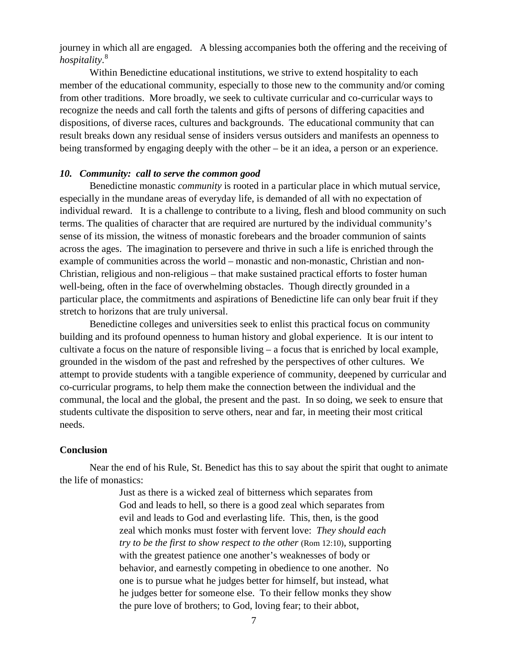journey in which all are engaged. A blessing accompanies both the offering and the receiving of *hospitality*. [8](#page-7-7)

Within Benedictine educational institutions, we strive to extend hospitality to each member of the educational community, especially to those new to the community and/or coming from other traditions. More broadly, we seek to cultivate curricular and co-curricular ways to recognize the needs and call forth the talents and gifts of persons of differing capacities and dispositions, of diverse races, cultures and backgrounds. The educational community that can result breaks down any residual sense of insiders versus outsiders and manifests an openness to being transformed by engaging deeply with the other – be it an idea, a person or an experience.

### *10. Community: call to serve the common good*

Benedictine monastic *community* is rooted in a particular place in which mutual service*,* especially in the mundane areas of everyday life, is demanded of all with no expectation of individual reward. It is a challenge to contribute to a living, flesh and blood community on such terms. The qualities of character that are required are nurtured by the individual community's sense of its mission, the witness of monastic forebears and the broader communion of saints across the ages. The imagination to persevere and thrive in such a life is enriched through the example of communities across the world – monastic and non-monastic, Christian and non-Christian, religious and non-religious – that make sustained practical efforts to foster human well-being, often in the face of overwhelming obstacles. Though directly grounded in a particular place, the commitments and aspirations of Benedictine life can only bear fruit if they stretch to horizons that are truly universal.

Benedictine colleges and universities seek to enlist this practical focus on community building and its profound openness to human history and global experience. It is our intent to cultivate a focus on the nature of responsible living – a focus that is enriched by local example, grounded in the wisdom of the past and refreshed by the perspectives of other cultures. We attempt to provide students with a tangible experience of community, deepened by curricular and co-curricular programs, to help them make the connection between the individual and the communal, the local and the global, the present and the past. In so doing, we seek to ensure that students cultivate the disposition to serve others, near and far, in meeting their most critical needs.

#### **Conclusion**

Near the end of his Rule, St. Benedict has this to say about the spirit that ought to animate the life of monastics:

> Just as there is a wicked zeal of bitterness which separates from God and leads to hell, so there is a good zeal which separates from evil and leads to God and everlasting life. This, then, is the good zeal which monks must foster with fervent love: *They should each try to be the first to show respect to the other* (Rom 12:10), supporting with the greatest patience one another's weaknesses of body or behavior, and earnestly competing in obedience to one another. No one is to pursue what he judges better for himself, but instead, what he judges better for someone else. To their fellow monks they show the pure love of brothers; to God, loving fear; to their abbot,